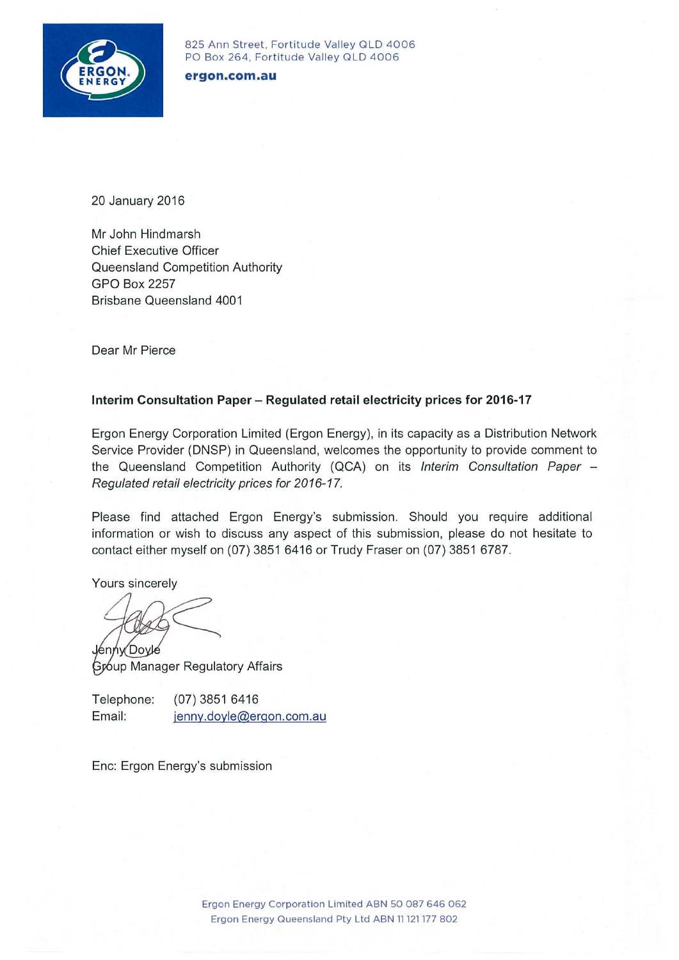

825 Ann Street, Fortitude Valley QLD 4006 PO Box 264, Fortitude Valley QLD 4006

#### ergon.com.au

20 January 2016

Mr John Hindmarsh **Chief Executive Officer** Queensland Competition Authority **GPO Box 2257** Brisbane Queensland 4001

Dear Mr Pierce

#### Interim Consultation Paper - Regulated retail electricity prices for 2016-17

Ergon Energy Corporation Limited (Ergon Energy), in its capacity as a Distribution Network Service Provider (DNSP) in Queensland, welcomes the opportunity to provide comment to the Queensland Competition Authority (QCA) on its Interim Consultation Paper -Regulated retail electricity prices for 2016-17.

Please find attached Ergon Energy's submission. Should you require additional information or wish to discuss any aspect of this submission, please do not hesitate to contact either myself on (07) 3851 6416 or Trudy Fraser on (07) 3851 6787.

Yours sincerely

enny Dovle

Group Manager Regulatory Affairs

Telephone: (07) 3851 6416 Email: jenny.doyle@ergon.com.au

Enc: Ergon Energy's submission

Ergon Energy Corporation Limited ABN 50 087 646 062 Ergon Energy Queensland Pty Ltd ABN 11 121 177 802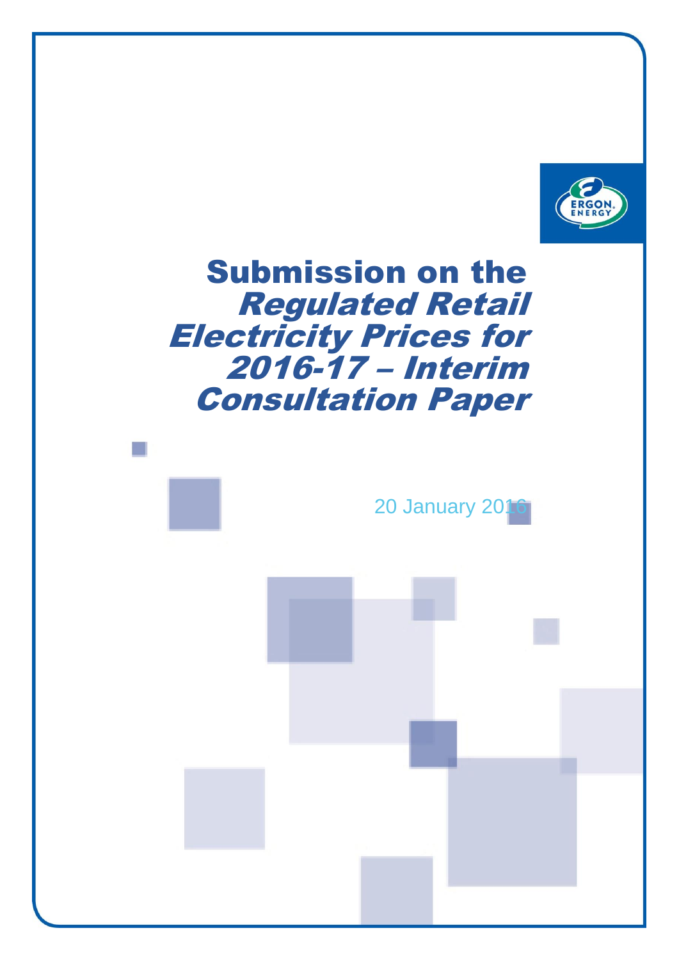

# Submission on the Regulated Retail Electricity Prices for 2016-17 – Interim Consultation Paper

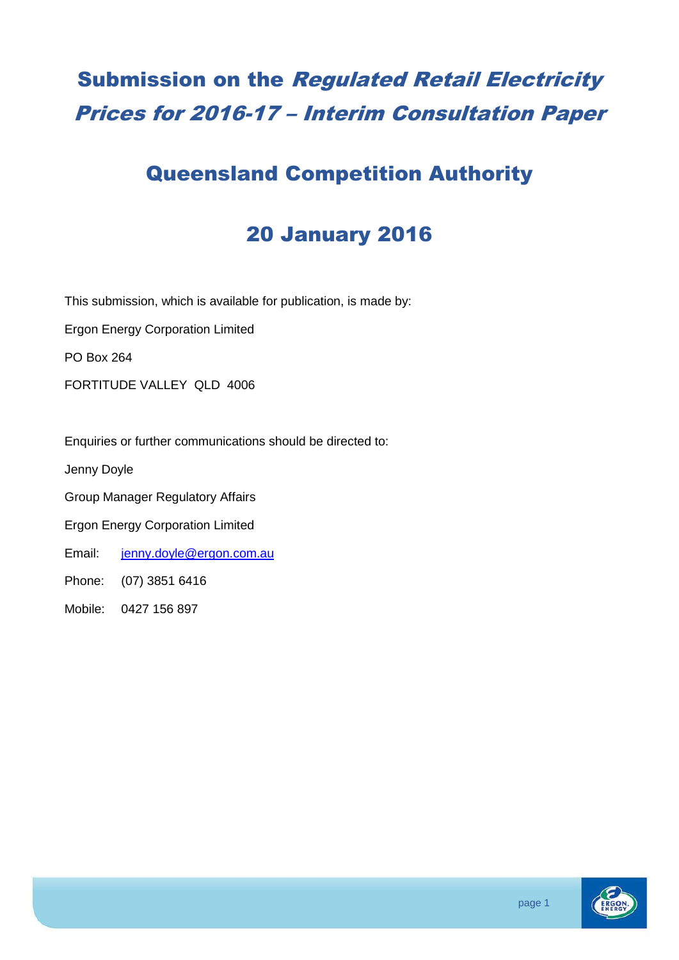## Submission on the Regulated Retail Electricity Prices for 2016-17 – Interim Consultation Paper

### Queensland Competition Authority

## 20 January 2016

This submission, which is available for publication, is made by:

Ergon Energy Corporation Limited

PO Box 264

FORTITUDE VALLEY QLD 4006

Enquiries or further communications should be directed to:

Jenny Doyle

Group Manager Regulatory Affairs

Ergon Energy Corporation Limited

Email: [jenny.doyle@ergon.com.au](mailto:jenny.doyle@ergon.com.au)

Phone: (07) 3851 6416

Mobile: 0427 156 897

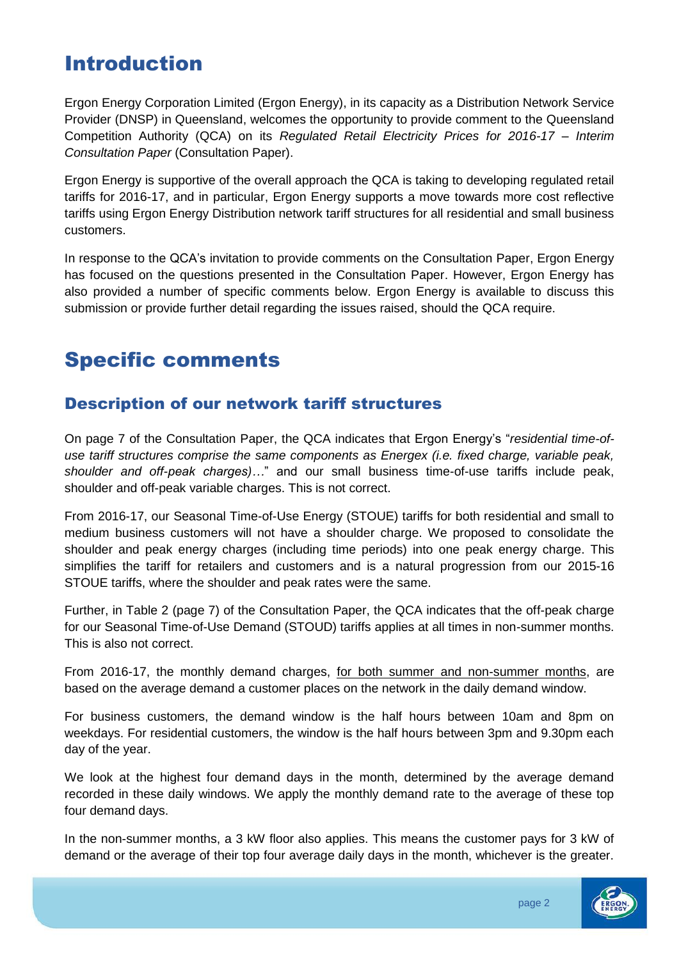### Introduction

Ergon Energy Corporation Limited (Ergon Energy), in its capacity as a Distribution Network Service Provider (DNSP) in Queensland, welcomes the opportunity to provide comment to the Queensland Competition Authority (QCA) on its *Regulated Retail Electricity Prices for 2016-17 – Interim Consultation Paper* (Consultation Paper).

Ergon Energy is supportive of the overall approach the QCA is taking to developing regulated retail tariffs for 2016-17, and in particular, Ergon Energy supports a move towards more cost reflective tariffs using Ergon Energy Distribution network tariff structures for all residential and small business customers.

In response to the QCA's invitation to provide comments on the Consultation Paper, Ergon Energy has focused on the questions presented in the Consultation Paper. However, Ergon Energy has also provided a number of specific comments below. Ergon Energy is available to discuss this submission or provide further detail regarding the issues raised, should the QCA require.

## Specific comments

### Description of our network tariff structures

On page 7 of the Consultation Paper, the QCA indicates that Ergon Energy's "*residential time-ofuse tariff structures comprise the same components as Energex (i.e. fixed charge, variable peak, shoulder and off-peak charges)…*" and our small business time-of-use tariffs include peak, shoulder and off-peak variable charges. This is not correct.

From 2016-17, our Seasonal Time-of-Use Energy (STOUE) tariffs for both residential and small to medium business customers will not have a shoulder charge. We proposed to consolidate the shoulder and peak energy charges (including time periods) into one peak energy charge. This simplifies the tariff for retailers and customers and is a natural progression from our 2015-16 STOUE tariffs, where the shoulder and peak rates were the same.

Further, in Table 2 (page 7) of the Consultation Paper, the QCA indicates that the off-peak charge for our Seasonal Time-of-Use Demand (STOUD) tariffs applies at all times in non-summer months. This is also not correct.

From 2016-17, the monthly demand charges, for both summer and non-summer months, are based on the average demand a customer places on the network in the daily demand window.

For business customers, the demand window is the half hours between 10am and 8pm on weekdays. For residential customers, the window is the half hours between 3pm and 9.30pm each day of the year.

We look at the highest four demand days in the month, determined by the average demand recorded in these daily windows. We apply the monthly demand rate to the average of these top four demand days.

In the non-summer months, a 3 kW floor also applies. This means the customer pays for 3 kW of demand or the average of their top four average daily days in the month, whichever is the greater.

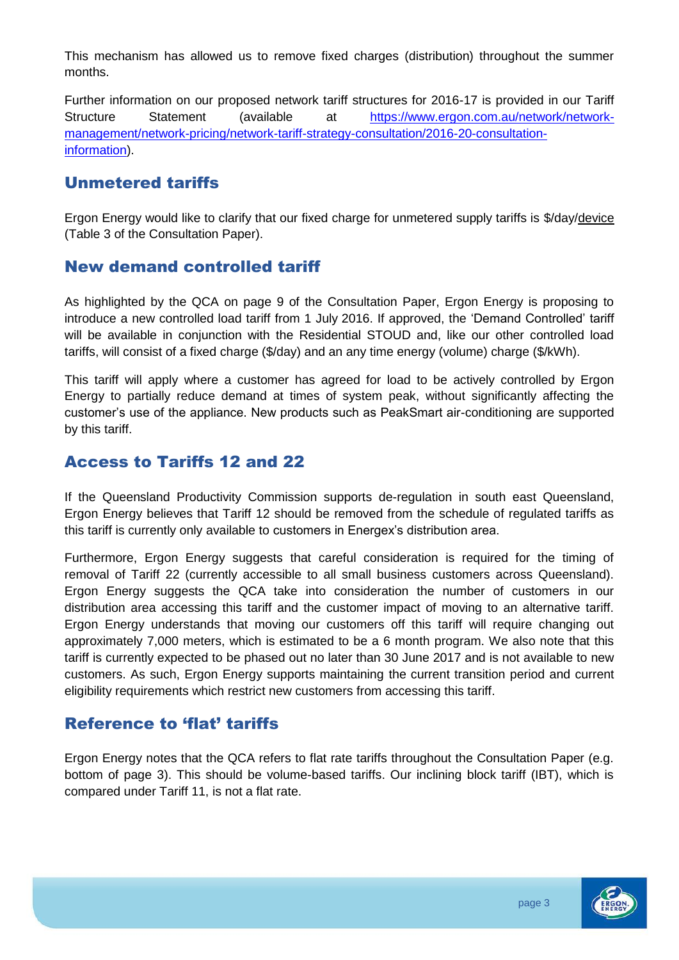This mechanism has allowed us to remove fixed charges (distribution) throughout the summer months.

Further information on our proposed network tariff structures for 2016-17 is provided in our Tariff Structure Statement (available at [https://www.ergon.com.au/network/network](https://www.ergon.com.au/network/network-management/network-pricing/network-tariff-strategy-consultation/2016-20-consultation-information)[management/network-pricing/network-tariff-strategy-consultation/2016-20-consultation](https://www.ergon.com.au/network/network-management/network-pricing/network-tariff-strategy-consultation/2016-20-consultation-information)[information\)](https://www.ergon.com.au/network/network-management/network-pricing/network-tariff-strategy-consultation/2016-20-consultation-information).

#### Unmetered tariffs

Ergon Energy would like to clarify that our fixed charge for unmetered supply tariffs is \$/day/device (Table 3 of the Consultation Paper).

#### New demand controlled tariff

As highlighted by the QCA on page 9 of the Consultation Paper, Ergon Energy is proposing to introduce a new controlled load tariff from 1 July 2016. If approved, the 'Demand Controlled' tariff will be available in conjunction with the Residential STOUD and, like our other controlled load tariffs, will consist of a fixed charge (\$/day) and an any time energy (volume) charge (\$/kWh).

This tariff will apply where a customer has agreed for load to be actively controlled by Ergon Energy to partially reduce demand at times of system peak, without significantly affecting the customer's use of the appliance. New products such as PeakSmart air-conditioning are supported by this tariff.

#### Access to Tariffs 12 and 22

If the Queensland Productivity Commission supports de-regulation in south east Queensland, Ergon Energy believes that Tariff 12 should be removed from the schedule of regulated tariffs as this tariff is currently only available to customers in Energex's distribution area.

Furthermore, Ergon Energy suggests that careful consideration is required for the timing of removal of Tariff 22 (currently accessible to all small business customers across Queensland). Ergon Energy suggests the QCA take into consideration the number of customers in our distribution area accessing this tariff and the customer impact of moving to an alternative tariff. Ergon Energy understands that moving our customers off this tariff will require changing out approximately 7,000 meters, which is estimated to be a 6 month program. We also note that this tariff is currently expected to be phased out no later than 30 June 2017 and is not available to new customers. As such, Ergon Energy supports maintaining the current transition period and current eligibility requirements which restrict new customers from accessing this tariff.

### Reference to 'flat' tariffs

Ergon Energy notes that the QCA refers to flat rate tariffs throughout the Consultation Paper (e.g. bottom of page 3). This should be volume-based tariffs. Our inclining block tariff (IBT), which is compared under Tariff 11, is not a flat rate.

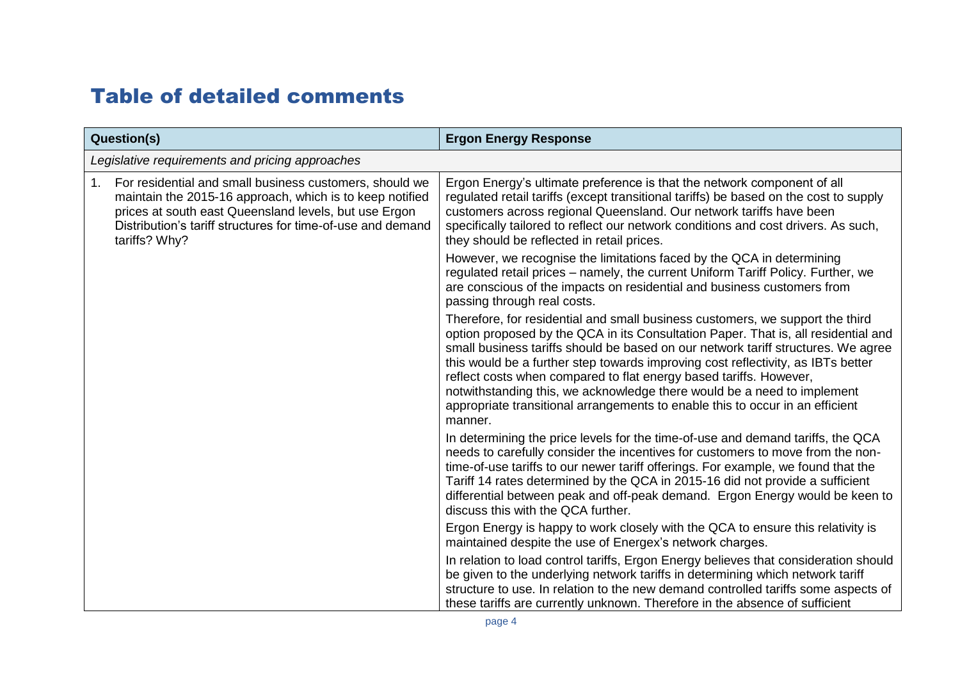### Table of detailed comments

| <b>Question(s)</b>                              |                                                                                                                                                                                                                                                              | <b>Ergon Energy Response</b>                                                                                                                                                                                                                                                                                                                                                                                                                                                                                                                                                              |
|-------------------------------------------------|--------------------------------------------------------------------------------------------------------------------------------------------------------------------------------------------------------------------------------------------------------------|-------------------------------------------------------------------------------------------------------------------------------------------------------------------------------------------------------------------------------------------------------------------------------------------------------------------------------------------------------------------------------------------------------------------------------------------------------------------------------------------------------------------------------------------------------------------------------------------|
| Legislative requirements and pricing approaches |                                                                                                                                                                                                                                                              |                                                                                                                                                                                                                                                                                                                                                                                                                                                                                                                                                                                           |
| 1.                                              | For residential and small business customers, should we<br>maintain the 2015-16 approach, which is to keep notified<br>prices at south east Queensland levels, but use Ergon<br>Distribution's tariff structures for time-of-use and demand<br>tariffs? Why? | Ergon Energy's ultimate preference is that the network component of all<br>regulated retail tariffs (except transitional tariffs) be based on the cost to supply<br>customers across regional Queensland. Our network tariffs have been<br>specifically tailored to reflect our network conditions and cost drivers. As such,<br>they should be reflected in retail prices.                                                                                                                                                                                                               |
|                                                 |                                                                                                                                                                                                                                                              | However, we recognise the limitations faced by the QCA in determining<br>regulated retail prices - namely, the current Uniform Tariff Policy. Further, we<br>are conscious of the impacts on residential and business customers from<br>passing through real costs.                                                                                                                                                                                                                                                                                                                       |
|                                                 |                                                                                                                                                                                                                                                              | Therefore, for residential and small business customers, we support the third<br>option proposed by the QCA in its Consultation Paper. That is, all residential and<br>small business tariffs should be based on our network tariff structures. We agree<br>this would be a further step towards improving cost reflectivity, as IBTs better<br>reflect costs when compared to flat energy based tariffs. However,<br>notwithstanding this, we acknowledge there would be a need to implement<br>appropriate transitional arrangements to enable this to occur in an efficient<br>manner. |
|                                                 |                                                                                                                                                                                                                                                              | In determining the price levels for the time-of-use and demand tariffs, the QCA<br>needs to carefully consider the incentives for customers to move from the non-<br>time-of-use tariffs to our newer tariff offerings. For example, we found that the<br>Tariff 14 rates determined by the QCA in 2015-16 did not provide a sufficient<br>differential between peak and off-peak demand. Ergon Energy would be keen to<br>discuss this with the QCA further.                                                                                                                             |
|                                                 |                                                                                                                                                                                                                                                              | Ergon Energy is happy to work closely with the QCA to ensure this relativity is<br>maintained despite the use of Energex's network charges.                                                                                                                                                                                                                                                                                                                                                                                                                                               |
|                                                 |                                                                                                                                                                                                                                                              | In relation to load control tariffs, Ergon Energy believes that consideration should<br>be given to the underlying network tariffs in determining which network tariff<br>structure to use. In relation to the new demand controlled tariffs some aspects of<br>these tariffs are currently unknown. Therefore in the absence of sufficient                                                                                                                                                                                                                                               |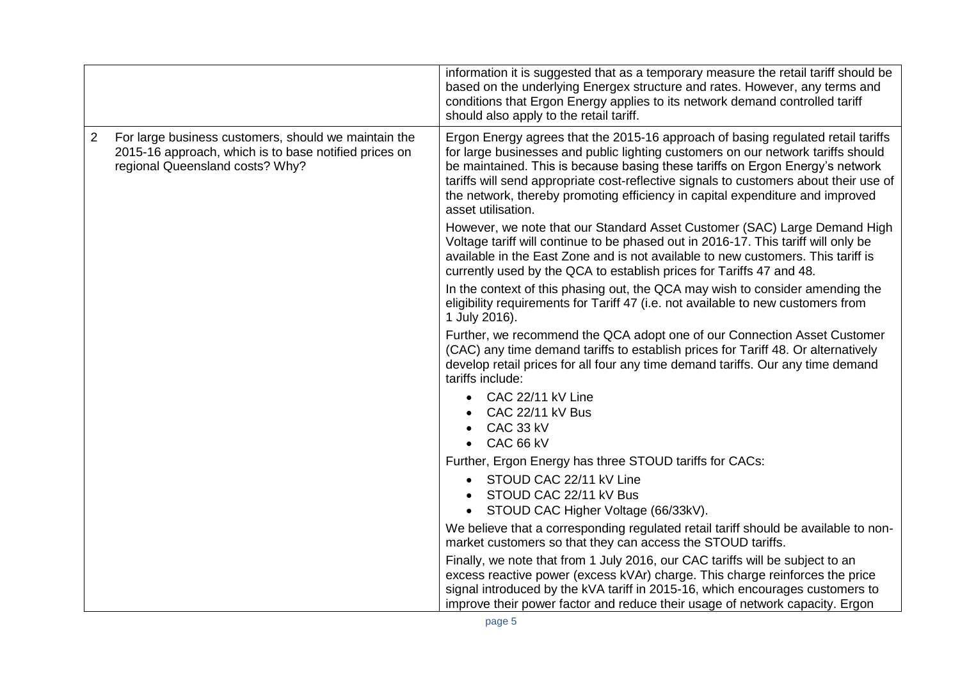|                |                                                                                                                                                  | information it is suggested that as a temporary measure the retail tariff should be<br>based on the underlying Energex structure and rates. However, any terms and<br>conditions that Ergon Energy applies to its network demand controlled tariff<br>should also apply to the retail tariff.                                                                                                                                                         |
|----------------|--------------------------------------------------------------------------------------------------------------------------------------------------|-------------------------------------------------------------------------------------------------------------------------------------------------------------------------------------------------------------------------------------------------------------------------------------------------------------------------------------------------------------------------------------------------------------------------------------------------------|
| $\overline{2}$ | For large business customers, should we maintain the<br>2015-16 approach, which is to base notified prices on<br>regional Queensland costs? Why? | Ergon Energy agrees that the 2015-16 approach of basing regulated retail tariffs<br>for large businesses and public lighting customers on our network tariffs should<br>be maintained. This is because basing these tariffs on Ergon Energy's network<br>tariffs will send appropriate cost-reflective signals to customers about their use of<br>the network, thereby promoting efficiency in capital expenditure and improved<br>asset utilisation. |
|                |                                                                                                                                                  | However, we note that our Standard Asset Customer (SAC) Large Demand High<br>Voltage tariff will continue to be phased out in 2016-17. This tariff will only be<br>available in the East Zone and is not available to new customers. This tariff is<br>currently used by the QCA to establish prices for Tariffs 47 and 48.                                                                                                                           |
|                |                                                                                                                                                  | In the context of this phasing out, the QCA may wish to consider amending the<br>eligibility requirements for Tariff 47 (i.e. not available to new customers from<br>1 July 2016).                                                                                                                                                                                                                                                                    |
|                |                                                                                                                                                  | Further, we recommend the QCA adopt one of our Connection Asset Customer<br>(CAC) any time demand tariffs to establish prices for Tariff 48. Or alternatively<br>develop retail prices for all four any time demand tariffs. Our any time demand<br>tariffs include:                                                                                                                                                                                  |
|                |                                                                                                                                                  | CAC 22/11 kV Line<br>CAC 22/11 kV Bus<br>CAC 33 kV<br>CAC 66 kV                                                                                                                                                                                                                                                                                                                                                                                       |
|                |                                                                                                                                                  | Further, Ergon Energy has three STOUD tariffs for CACs:<br>STOUD CAC 22/11 kV Line<br>STOUD CAC 22/11 kV Bus<br>STOUD CAC Higher Voltage (66/33kV).                                                                                                                                                                                                                                                                                                   |
|                |                                                                                                                                                  | We believe that a corresponding regulated retail tariff should be available to non-<br>market customers so that they can access the STOUD tariffs.                                                                                                                                                                                                                                                                                                    |
|                |                                                                                                                                                  | Finally, we note that from 1 July 2016, our CAC tariffs will be subject to an<br>excess reactive power (excess kVAr) charge. This charge reinforces the price<br>signal introduced by the kVA tariff in 2015-16, which encourages customers to<br>improve their power factor and reduce their usage of network capacity. Ergon                                                                                                                        |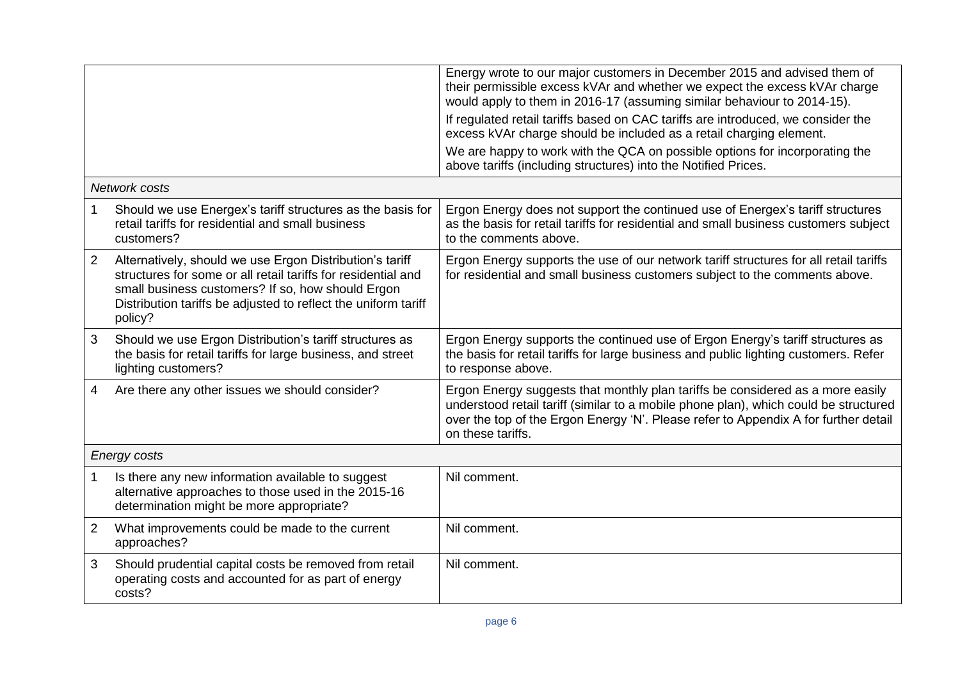|                     |                                                                                                                                                                                                                                                             | Energy wrote to our major customers in December 2015 and advised them of<br>their permissible excess kVAr and whether we expect the excess kVAr charge<br>would apply to them in 2016-17 (assuming similar behaviour to 2014-15).                                                  |
|---------------------|-------------------------------------------------------------------------------------------------------------------------------------------------------------------------------------------------------------------------------------------------------------|------------------------------------------------------------------------------------------------------------------------------------------------------------------------------------------------------------------------------------------------------------------------------------|
|                     |                                                                                                                                                                                                                                                             | If regulated retail tariffs based on CAC tariffs are introduced, we consider the<br>excess kVAr charge should be included as a retail charging element.                                                                                                                            |
|                     |                                                                                                                                                                                                                                                             | We are happy to work with the QCA on possible options for incorporating the<br>above tariffs (including structures) into the Notified Prices.                                                                                                                                      |
| Network costs       |                                                                                                                                                                                                                                                             |                                                                                                                                                                                                                                                                                    |
|                     | Should we use Energex's tariff structures as the basis for<br>retail tariffs for residential and small business<br>customers?                                                                                                                               | Ergon Energy does not support the continued use of Energex's tariff structures<br>as the basis for retail tariffs for residential and small business customers subject<br>to the comments above.                                                                                   |
| $\overline{2}$      | Alternatively, should we use Ergon Distribution's tariff<br>structures for some or all retail tariffs for residential and<br>small business customers? If so, how should Ergon<br>Distribution tariffs be adjusted to reflect the uniform tariff<br>policy? | Ergon Energy supports the use of our network tariff structures for all retail tariffs<br>for residential and small business customers subject to the comments above.                                                                                                               |
| 3                   | Should we use Ergon Distribution's tariff structures as<br>the basis for retail tariffs for large business, and street<br>lighting customers?                                                                                                               | Ergon Energy supports the continued use of Ergon Energy's tariff structures as<br>the basis for retail tariffs for large business and public lighting customers. Refer<br>to response above.                                                                                       |
| 4                   | Are there any other issues we should consider?                                                                                                                                                                                                              | Ergon Energy suggests that monthly plan tariffs be considered as a more easily<br>understood retail tariff (similar to a mobile phone plan), which could be structured<br>over the top of the Ergon Energy 'N'. Please refer to Appendix A for further detail<br>on these tariffs. |
| <b>Energy costs</b> |                                                                                                                                                                                                                                                             |                                                                                                                                                                                                                                                                                    |
| 1                   | Is there any new information available to suggest<br>alternative approaches to those used in the 2015-16<br>determination might be more appropriate?                                                                                                        | Nil comment.                                                                                                                                                                                                                                                                       |
| $\overline{2}$      | What improvements could be made to the current<br>approaches?                                                                                                                                                                                               | Nil comment.                                                                                                                                                                                                                                                                       |
| 3                   | Should prudential capital costs be removed from retail<br>operating costs and accounted for as part of energy<br>costs?                                                                                                                                     | Nil comment.                                                                                                                                                                                                                                                                       |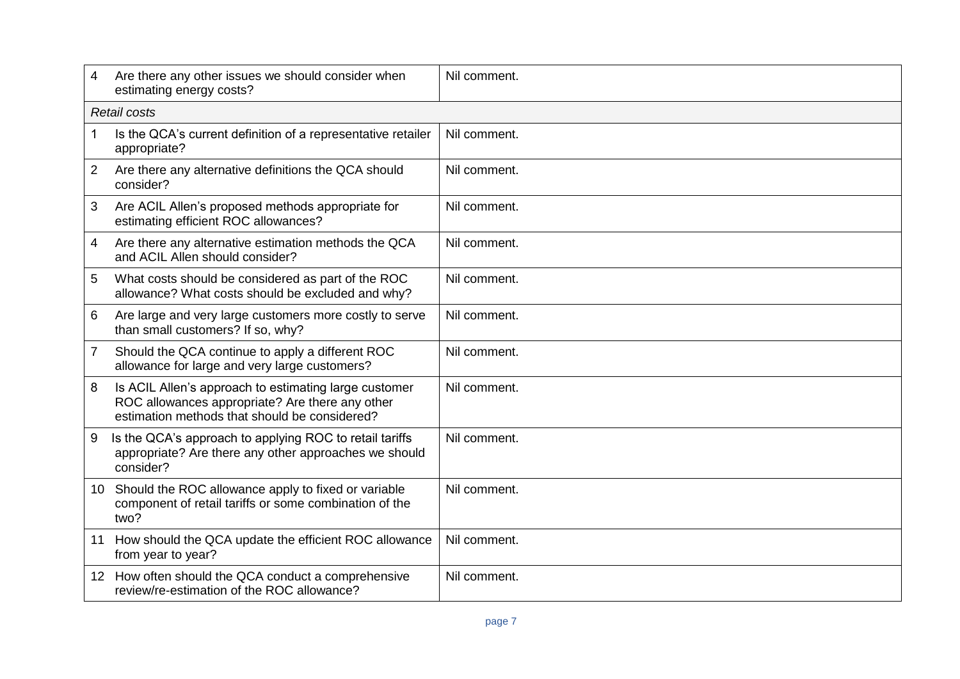| 4              | Are there any other issues we should consider when<br>estimating energy costs?                                                                            | Nil comment. |
|----------------|-----------------------------------------------------------------------------------------------------------------------------------------------------------|--------------|
|                | <b>Retail costs</b>                                                                                                                                       |              |
| 1              | Is the QCA's current definition of a representative retailer<br>appropriate?                                                                              | Nil comment. |
| $\overline{2}$ | Are there any alternative definitions the QCA should<br>consider?                                                                                         | Nil comment. |
| 3              | Are ACIL Allen's proposed methods appropriate for<br>estimating efficient ROC allowances?                                                                 | Nil comment. |
| 4              | Are there any alternative estimation methods the QCA<br>and ACIL Allen should consider?                                                                   | Nil comment. |
| 5              | What costs should be considered as part of the ROC<br>allowance? What costs should be excluded and why?                                                   | Nil comment. |
| 6              | Are large and very large customers more costly to serve<br>than small customers? If so, why?                                                              | Nil comment. |
| 7              | Should the QCA continue to apply a different ROC<br>allowance for large and very large customers?                                                         | Nil comment. |
| 8              | Is ACIL Allen's approach to estimating large customer<br>ROC allowances appropriate? Are there any other<br>estimation methods that should be considered? | Nil comment. |
| 9              | Is the QCA's approach to applying ROC to retail tariffs<br>appropriate? Are there any other approaches we should<br>consider?                             | Nil comment. |
| 10             | Should the ROC allowance apply to fixed or variable<br>component of retail tariffs or some combination of the<br>two?                                     | Nil comment. |
| 11             | How should the QCA update the efficient ROC allowance<br>from year to year?                                                                               | Nil comment. |
| 12             | How often should the QCA conduct a comprehensive<br>review/re-estimation of the ROC allowance?                                                            | Nil comment. |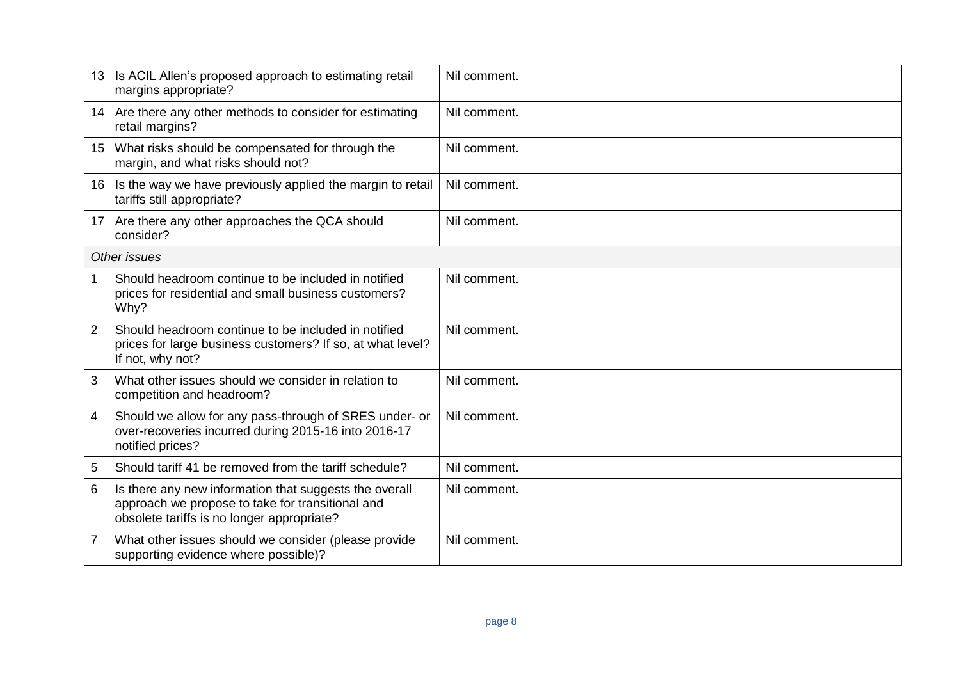|                 | Is ACIL Allen's proposed approach to estimating retail<br>margins appropriate?                                                                           | Nil comment. |
|-----------------|----------------------------------------------------------------------------------------------------------------------------------------------------------|--------------|
| 14              | Are there any other methods to consider for estimating<br>retail margins?                                                                                | Nil comment. |
|                 | 15 What risks should be compensated for through the<br>margin, and what risks should not?                                                                | Nil comment. |
| 16              | Is the way we have previously applied the margin to retail<br>tariffs still appropriate?                                                                 | Nil comment. |
| 17 <sup>2</sup> | Are there any other approaches the QCA should<br>consider?                                                                                               | Nil comment. |
| Other issues    |                                                                                                                                                          |              |
| 1               | Should headroom continue to be included in notified<br>prices for residential and small business customers?<br>Why?                                      | Nil comment. |
| 2               | Should headroom continue to be included in notified<br>prices for large business customers? If so, at what level?<br>If not, why not?                    | Nil comment. |
| 3               | What other issues should we consider in relation to<br>competition and headroom?                                                                         | Nil comment. |
| 4               | Should we allow for any pass-through of SRES under- or<br>over-recoveries incurred during 2015-16 into 2016-17<br>notified prices?                       | Nil comment. |
| 5               | Should tariff 41 be removed from the tariff schedule?                                                                                                    | Nil comment. |
| 6               | Is there any new information that suggests the overall<br>approach we propose to take for transitional and<br>obsolete tariffs is no longer appropriate? | Nil comment. |
| 7               | What other issues should we consider (please provide<br>supporting evidence where possible)?                                                             | Nil comment. |